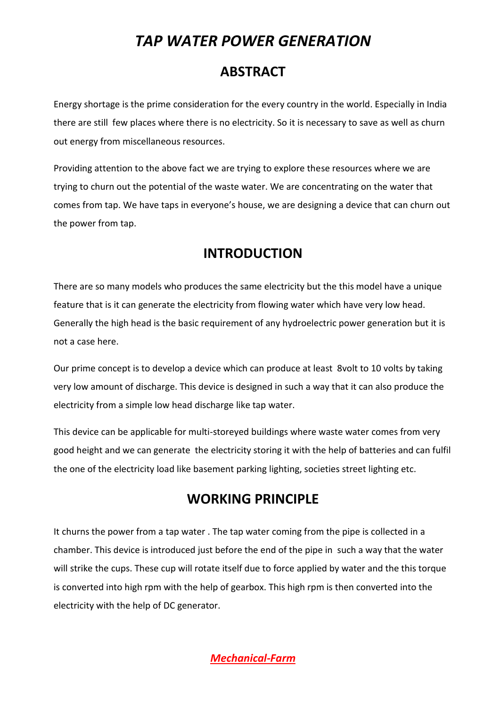# *[TAP WATER POWER GENERATION](https://www.mechanical-farm.com/)*

### **[ABSTRACT](https://www.mechanical-farm.com/)**

[Energy shortage is the prime consideration for the every country in the world. Especially in India](https://www.mechanical-farm.com/)  [there are still few places where there is no electricity. So it is necessary to save as well as churn](https://www.mechanical-farm.com/)  [out energy from miscellaneous resources.](https://www.mechanical-farm.com/) 

[Providing attention to the above fact we are trying to explore these resources where we are](https://www.mechanical-farm.com/)  [trying to churn out the potential of the waste water. We are concentrating on the water that](https://www.mechanical-farm.com/) [comes from tap. We have taps in everyone's house, we are designing a device that can churn out](https://www.mechanical-farm.com/)  [the power from tap.](https://www.mechanical-farm.com/)

#### **[INTRODUCTION](https://www.mechanical-farm.com/)**

There are [so many models who produces the same electricity but the this model have a unique](https://www.mechanical-farm.com/)  [feature that is it can generate the electricity from flowing water which have very low head.](https://www.mechanical-farm.com/)  [Generally the high head is the basic requirement of any hydroelectric power generation but it is](https://www.mechanical-farm.com/)  [not a case here.](https://www.mechanical-farm.com/) 

[Our prime concept is to develop a device which can produce at least 8volt to 10 volts by taking](https://www.mechanical-farm.com/)  [very low amount of discharge. This device is designed in such a way that it can also produce the](https://www.mechanical-farm.com/)  [electricity from a simple low head discharge like tap water.](https://www.mechanical-farm.com/)

[This device can be applicable for multi-storeyed buildings where waste water comes from very](https://www.mechanical-farm.com/)  [good height and we can generate the electricity storing it with the help of batteries and can fulfil](https://www.mechanical-farm.com/)  the one of the electricity [load like basement parking lighting, societies street lighting etc.](https://www.mechanical-farm.com/)

## **[WORKING PRINCIPLE](https://www.mechanical-farm.com/)**

It churns the power from a tap water . The tap [water coming from the pipe is collected in a](https://www.mechanical-farm.com/)  [chamber. This device is introduced just before the end of the pipe in such a way that the water](https://www.mechanical-farm.com/)  [will strike the cups. These cup will rotate itself due to force applied by water and the this torque](https://www.mechanical-farm.com/)  is converted [into high rpm with the help of gearbox. This high rpm is then converted into the](https://www.mechanical-farm.com/)  [electricity with the help of DC generator.](https://www.mechanical-farm.com/)

*[Mechanical-Farm](https://www.mechanical-farm.com/)*